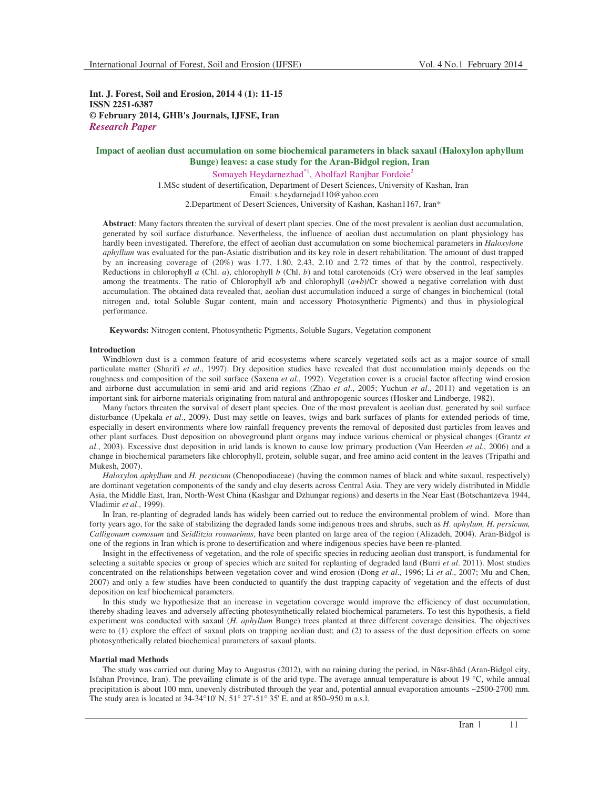**Int. J. Forest, Soil and Erosion, 2014 4 (1): 11-15 ISSN 2251-6387 © February 2014, GHB's Journals, IJFSE, Iran** *Research Paper*

# **Impact of aeolian dust accumulation on some biochemical parameters in black saxaul (Haloxylon aphyllum Bunge) leaves: a case study for the Aran-Bidgol region, Iran**

Somayeh Heydarnezhad\*<sup>1</sup>, Abolfazl Ranjbar Fordoie<sup>2</sup> 1.MSc student of desertification, Department of Desert Sciences, University of Kashan, Iran Email: s.heydarnejad110@yahoo.com 2.Department of Desert Sciences, University of Kashan, Kashan1167, Iran\*

**Abstract**: Many factors threaten the survival of desert plant species. One of the most prevalent is aeolian dust accumulation, generated by soil surface disturbance. Nevertheless, the influence of aeolian dust accumulation on plant physiology has hardly been investigated. Therefore, the effect of aeolian dust accumulation on some biochemical parameters in *Haloxylone aphyllum* was evaluated for the pan-Asiatic distribution and its key role in desert rehabilitation. The amount of dust trapped by an increasing coverage of (20%) was 1.77, 1.80, 2.43, 2.10 and 2.72 times of that by the control, respectively. Reductions in chlorophyll *a* (Chl. *a*), chlorophyll *b* (Chl. *b*) and total carotenoids (Cr) were observed in the leaf samples among the treatments. The ratio of Chlorophyll a/b and chlorophyll  $(a+b)/Cr$  showed a negative correlation with dust accumulation. The obtained data revealed that, aeolian dust accumulation induced a surge of changes in biochemical (total nitrogen and, total Soluble Sugar content, main and accessory Photosynthetic Pigments) and thus in physiological performance.

**Keywords:** Nitrogen content, Photosynthetic Pigments, Soluble Sugars, Vegetation component

## **Introduction**

Windblown dust is a common feature of arid ecosystems where scarcely vegetated soils act as a major source of small particulate matter (Sharifi *et al*., 1997). Dry deposition studies have revealed that dust accumulation mainly depends on the roughness and composition of the soil surface (Saxena *et al*., 1992). Vegetation cover is a crucial factor affecting wind erosion and airborne dust accumulation in semi-arid and arid regions (Zhao *et al*., 2005; Yuchun *et al*., 2011) and vegetation is an important sink for airborne materials originating from natural and anthropogenic sources (Hosker and Lindberge, 1982).

Many factors threaten the survival of desert plant species. One of the most prevalent is aeolian dust, generated by soil surface disturbance (Upekala *et al*., 2009). Dust may settle on leaves, twigs and bark surfaces of plants for extended periods of time, especially in desert environments where low rainfall frequency prevents the removal of deposited dust particles from leaves and other plant surfaces. Dust deposition on aboveground plant organs may induce various chemical or physical changes (Grantz *et al*., 2003). Excessive dust deposition in arid lands is known to cause low primary production (Van Heerden *et al*., 2006) and a change in biochemical parameters like chlorophyll, protein, soluble sugar, and free amino acid content in the leaves (Tripathi and Mukesh, 2007).

*Haloxylon aphyllum* and *H. persicum* (Chenopodiaceae) (having the common names of black and white saxaul, respectively) are dominant vegetation components of the sandy and clay deserts across Central Asia. They are very widely distributed in Middle Asia, the Middle East, Iran, North-West China (Kashgar and Dzhungar regions) and deserts in the Near East (Botschantzeva 1944, Vladimir *et al*., 1999).

In Iran, re-planting of degraded lands has widely been carried out to reduce the environmental problem of wind. More than forty years ago, for the sake of stabilizing the degraded lands some indigenous trees and shrubs, such as *H. aphylum, H. persicum, Calligonum comosum* and *Seidlitzia rosmarinus*, have been planted on large area of the region (Alizadeh, 2004). Aran-Bidgol is one of the regions in Iran which is prone to desertification and where indigenous species have been re-planted.

Insight in the effectiveness of vegetation, and the role of specific species in reducing aeolian dust transport, is fundamental for selecting a suitable species or group of species which are suited for replanting of degraded land (Burri *et al*. 2011). Most studies concentrated on the relationships between vegetation cover and wind erosion (Dong *et al*., 1996; Li *et al*., 2007; Mu and Chen, 2007) and only a few studies have been conducted to quantify the dust trapping capacity of vegetation and the effects of dust deposition on leaf biochemical parameters.

In this study we hypothesize that an increase in vegetation coverage would improve the efficiency of dust accumulation, thereby shading leaves and adversely affecting photosynthetically related biochemical parameters. To test this hypothesis, a field experiment was conducted with saxaul (*H. aphyllum* Bunge) trees planted at three different coverage densities. The objectives were to (1) explore the effect of saxaul plots on trapping aeolian dust; and (2) to assess of the dust deposition effects on some photosynthetically related biochemical parameters of saxaul plants.

## **Martial mad Methods**

The study was carried out during May to Augustus (2012), with no raining during the period, in Nāsr-ãbãd (Aran-Bidgol city, Isfahan Province, Iran). The prevailing climate is of the arid type. The average annual temperature is about 19 °C, while annual precipitation is about 100 mm, unevenly distributed through the year and, potential annual evaporation amounts ~2500-2700 mm. The study area is located at  $34-34^{\circ}10'$  N,  $51^{\circ}27-51^{\circ}35'$  E, and at 850–950 m a.s.l.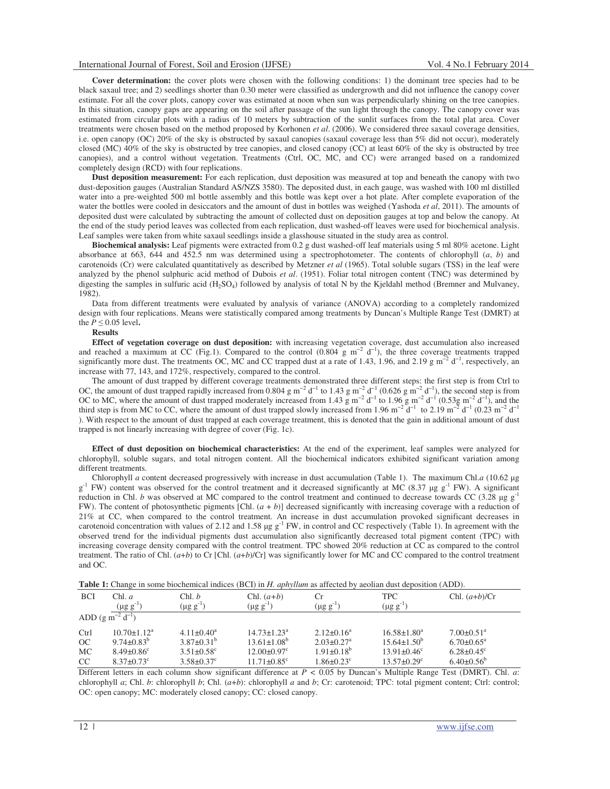**Cover determination:** the cover plots were chosen with the following conditions: 1) the dominant tree species had to be black saxaul tree; and 2) seedlings shorter than 0.30 meter were classified as undergrowth and did not influence the canopy cover estimate. For all the cover plots, canopy cover was estimated at noon when sun was perpendicularly shining on the tree canopies. In this situation, canopy gaps are appearing on the soil after passage of the sun light through the canopy. The canopy cover was estimated from circular plots with a radius of 10 meters by subtraction of the sunlit surfaces from the total plat area. Cover treatments were chosen based on the method proposed by Korhonen *et al*. (2006). We considered three saxaul coverage densities, i.e. open canopy (OC) 20% of the sky is obstructed by saxaul canopies (saxaul coverage less than 5% did not occur), moderately closed (MC) 40% of the sky is obstructed by tree canopies, and closed canopy (CC) at least 60% of the sky is obstructed by tree canopies), and a control without vegetation. Treatments (Ctrl, OC, MC, and CC) were arranged based on a randomized completely design (RCD) with four replications.

**Dust deposition measurement:** For each replication, dust deposition was measured at top and beneath the canopy with two dust-deposition gauges (Australian Standard AS/NZS 3580). The deposited dust, in each gauge, was washed with 100 ml distilled water into a pre-weighted 500 ml bottle assembly and this bottle was kept over a hot plate. After complete evaporation of the water the bottles were cooled in desiccators and the amount of dust in bottles was weighed (Yashoda *et al*, 2011). The amounts of deposited dust were calculated by subtracting the amount of collected dust on deposition gauges at top and below the canopy. At the end of the study period leaves was collected from each replication, dust washed-off leaves were used for biochemical analysis. Leaf samples were taken from white saxaul seedlings inside a glasshouse situated in the study area as control.

**Biochemical analysis:** Leaf pigments were extracted from 0.2 g dust washed-off leaf materials using 5 ml 80% acetone. Light absorbance at 663, 644 and 452.5 nm was determined using a spectrophotometer. The contents of chlorophyll (*a*, *b*) and carotenoids (Cr) were calculated quantitatively as described by Metzner *et al* (1965). Total soluble sugars (TSS) in the leaf were analyzed by the phenol sulphuric acid method of Dubois *et al*. (1951). Foliar total nitrogen content (TNC) was determined by digesting the samples in sulfuric acid  $(H_2SO_4)$  followed by analysis of total N by the Kjeldahl method (Bremner and Mulvaney, 1982).

Data from different treatments were evaluated by analysis of variance (ANOVA) according to a completely randomized design with four replications. Means were statistically compared among treatments by Duncan's Multiple Range Test (DMRT) at the  $P \leq 0.05$  level.

## **Results**

**Effect of vegetation coverage on dust deposition:** with increasing vegetation coverage, dust accumulation also increased and reached a maximum at CC (Fig.1). Compared to the control (0.804 g m<sup>-2</sup> d<sup>-1</sup>), the three coverage treatments trapped significantly more dust. The treatments OC, MC and CC trapped dust at a rate of 1.43, 1.96, and 2.19 g m<sup>-2</sup> d<sup>-1</sup>, respectively, an increase with 77, 143, and 172%, respectively, compared to the control.

The amount of dust trapped by different coverage treatments demonstrated three different steps: the first step is from Ctrl to OC, the amount of dust trapped rapidly increased from 0.804 g m<sup>-2</sup> d<sup>-1</sup> to 1.43 g m<sup>-2</sup> d<sup>-1</sup> (0.626 g m<sup>-2</sup> d<sup>-1</sup>), the second step is from OC to MC, where the amount of dust trapped moderately increased from 1.43 g m<sup>-2</sup> d<sup>-1</sup> to 1.96 g m<sup>-2</sup> d<sup>-1</sup> (0.53g m<sup>-2</sup> d<sup>-1</sup>), and the third step is from MC to CC, where the amount of dust trapped slowly increased from 1.96 m<sup>-2</sup> d<sup>-1</sup> to 2.19 m<sup>-2</sup> d<sup>-1</sup> (0.23 m<sup>-2</sup> d<sup>-1</sup> ). With respect to the amount of dust trapped at each coverage treatment, this is denoted that the gain in additional amount of dust trapped is not linearly increasing with degree of cover (Fig. 1c).

**Effect of dust deposition on biochemical characteristics:** At the end of the experiment, leaf samples were analyzed for chlorophyll, soluble sugars, and total nitrogen content. All the biochemical indicators exhibited significant variation among different treatments.

Chlorophyll *a* content decreased progressively with increase in dust accumulation (Table 1). The maximum Chl.*a* (10.62  $\mu$ g  $g^{-1}$  FW) content was observed for the control treatment and it decreased significantly at MC (8.37 µg  $g^{-1}$  FW). A significant reduction in Chl. *b* was observed at MC compared to the control treatment and continued to decrease towards CC (3.28  $\mu$ g g<sup>-1</sup>) FW). The content of photosynthetic pigments [Chl. (*a* + *b*)] decreased significantly with increasing coverage with a reduction of 21% at CC, when compared to the control treatment. An increase in dust accumulation provoked significant decreases in carotenoid concentration with values of 2.12 and 1.58  $\mu$ g g<sup>-1</sup> FW, in control and CC respectively (Table 1). In agreement with the observed trend for the individual pigments dust accumulation also significantly decreased total pigment content (TPC) with increasing coverage density compared with the control treatment. TPC showed 20% reduction at CC as compared to the control treatment. The ratio of Chl. (*a*+*b*) to Cr [Chl. (*a*+*b*)/Cr] was significantly lower for MC and CC compared to the control treatment and OC.

**Table 1:** Change in some biochemical indices (BCI) in *H. aphyllum* as affected by aeolian dust deposition (ADD).

| <b>BCI</b>              | Chl. a                       | Chl. b                       | $Chl. (a+b)$                  | Сr                           | <b>TPC</b>                    | Chl. $(a+b)/Cr$              |
|-------------------------|------------------------------|------------------------------|-------------------------------|------------------------------|-------------------------------|------------------------------|
|                         | $(\mu g\ g^{-1})$            | $(\mu g g^{-1})$             | $(\mu g g^{-1})$              | $(\mu g g^{-1})$             | $(\mu g g^{-1})$              |                              |
| ADD $(g m^{-2} d^{-1})$ |                              |                              |                               |                              |                               |                              |
| Ctrl                    | $10.70 \pm 1.12^a$           | $4.11 \pm 0.40^a$            | $14.73 \pm 1.23^a$            | $2.12\pm0.16^a$              | $16.58 \pm 1.80^a$            | $7.00 \pm 0.51$ <sup>a</sup> |
| OC                      | $9.74 \pm 0.83^b$            | $3.87\pm0.31^{b}$            | $13.61 \pm 1.08^b$            | $2.03 \pm 0.27$ <sup>a</sup> | $15.64 \pm 1.50^b$            | $6.70 \pm 0.65$ <sup>a</sup> |
| MC                      | $8.49 \pm 0.86$ <sup>c</sup> | $3.51 \pm 0.58$ <sup>c</sup> | $12.00 \pm 0.97$ <sup>c</sup> | $1.91 \pm 0.18^b$            | $13.91 \pm 0.46$ <sup>c</sup> | $6.28 \pm 0.45$ °            |
| CC                      | $8.37 \pm 0.73$ <sup>c</sup> | $3.58 \pm 0.37$ °            | $11.71 \pm 0.85$ <sup>c</sup> | $1.86 \pm 0.23$ <sup>c</sup> | $13.57 \pm 0.29$ <sup>c</sup> | $6.40\pm0.56^b$              |

Different letters in each column show significant difference at *P <* 0.05 by Duncan's Multiple Range Test (DMRT). Chl. *a*: chlorophyll *a*; Chl. *b*: chlorophyll *b*; Chl. (*a*+*b*): chlorophyll *a* and *b*; Cr: carotenoid; TPC: total pigment content; Ctrl: control; OC: open canopy; MC: moderately closed canopy; CC: closed canopy.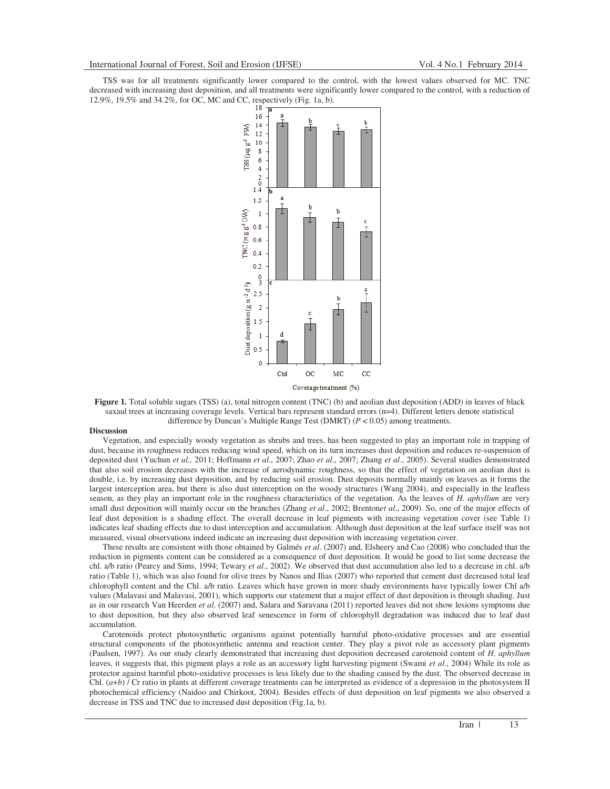TSS was for all treatments significantly lower compared to the control, with the lowest values observed for MC. TNC decreased with increasing dust deposition, and all treatments were significantly lower compared to the control, with a reduction of 12.9%, 19.5% and 34.2%, for OC, MC and CC, respectively (Fig. 1a, b).



**Figure 1.** Total soluble sugars (TSS) (a), total nitrogen content (TNC) (b) and aeolian dust deposition (ADD) in leaves of black saxaul trees at increasing coverage levels. Vertical bars represent standard errors (n=4). Different letters denote statistical difference by Duncan's Multiple Range Test (DMRT) (*P* < 0.05) among treatments.

#### **Discussion**

Vegetation, and especially woody vegetation as shrubs and trees, has been suggested to play an important role in trapping of dust, because its roughness reduces reducing wind speed, which on its turn increases dust deposition and reduces re-suspension of deposited dust (Yuchun *et al.,* 2011; Hoffmann *et al*., 2007; Zhao *et al*., 2007; Zhang *et al*., 2005). Several studies demonstrated that also soil erosion decreases with the increase of aerodynamic roughness, so that the effect of vegetation on aeolian dust is double, i.e. by increasing dust deposition, and by reducing soil erosion. Dust deposits normally mainly on leaves as it forms the largest interception area, but there is also dust interception on the woody structures (Wang 2004), and especially in the leafless season, as they play an important role in the roughness characteristics of the vegetation. As the leaves of *H. aphyllum* are very small dust deposition will mainly occur on the branches (Zhang *et al*., 2002; Brenton*et al*., 2009). So, one of the major effects of leaf dust deposition is a shading effect. The overall decrease in leaf pigments with increasing vegetation cover (see Table 1) indicates leaf shading effects due to dust interception and accumulation. Although dust deposition at the leaf surface itself was not measured, visual observations indeed indicate an increasing dust deposition with increasing vegetation cover.

These results are consistent with those obtained by Galmés *et al*. (2007) and, Elsheery and Cao (2008) who concluded that the reduction in pigments content can be considered as a consequence of dust deposition. It would be good to list some decrease the chl. a/b ratio (Pearcy and Sims, 1994; Tewary *et al*., 2002). We observed that dust accumulation also led to a decrease in chl. a/b ratio (Table 1), which was also found for olive trees by Nanos and Ilias (2007) who reported that cement dust decreased total leaf chlorophyll content and the Chl. a/b ratio. Leaves which have grown in more shady environments have typically lower Chl a/b values (Malavasi and Malavasi, 2001), which supports our statement that a major effect of dust deposition is through shading. Just as in our research Van Heerden *et al*. (2007) and, Salara and Saravana (2011) reported leaves did not show lesions symptoms due to dust deposition, but they also observed leaf senescence in form of chlorophyll degradation was induced due to leaf dust accumulation.

Carotenoids protect photosynthetic organisms against potentially harmful photo-oxidative processes and are essential structural components of the photosynthetic antenna and reaction center. They play a pivot role as accessory plant pigments (Paulsen, 1997). As our study clearly demonstrated that increasing dust deposition decreased carotenoid content of *H*. *aphyllum* leaves, it suggests that, this pigment plays a role as an accessory light harvesting pigment (Swami *et al*., 2004) While its role as protector against harmful photo-oxidative processes is less likely due to the shading caused by the dust. The observed decrease in Chl. (*a*+*b*) / Cr ratio in plants at different coverage treatments can be interpreted as evidence of a depression in the photosystem II photochemical efficiency (Naidoo and Chirkoot, 2004). Besides effects of dust deposition on leaf pigments we also observed a decrease in TSS and TNC due to increased dust deposition (Fig.1a, b).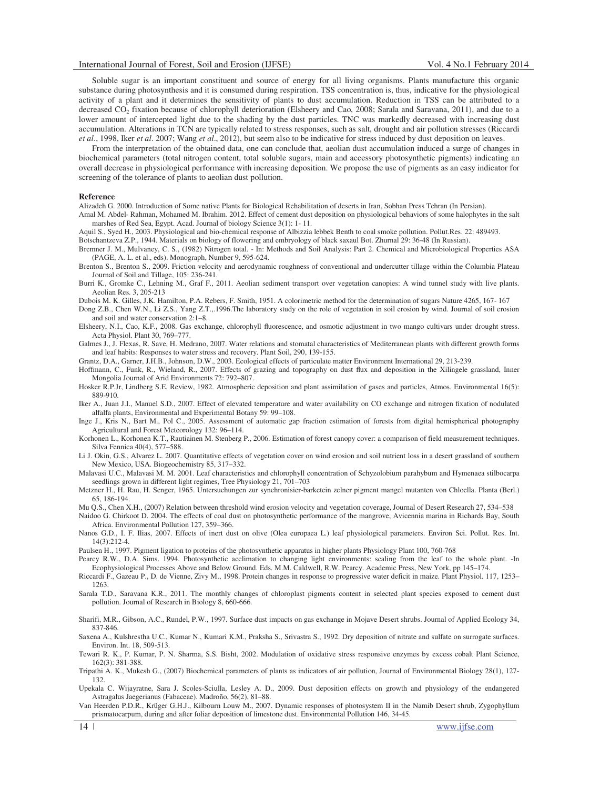Soluble sugar is an important constituent and source of energy for all living organisms. Plants manufacture this organic substance during photosynthesis and it is consumed during respiration. TSS concentration is, thus, indicative for the physiological activity of a plant and it determines the sensitivity of plants to dust accumulation. Reduction in TSS can be attributed to a decreased CO<sub>2</sub> fixation because of chlorophyll deterioration (Elsheery and Cao, 2008; Sarala and Saravana, 2011), and due to a lower amount of intercepted light due to the shading by the dust particles. TNC was markedly decreased with increasing dust accumulation. Alterations in TCN are typically related to stress responses, such as salt, drought and air pollution stresses (Riccardi *et al*., 1998, Iker *et al*. 2007; Wang *et al*., 2012), but seem also to be indicative for stress induced by dust deposition on leaves.

From the interpretation of the obtained data, one can conclude that, aeolian dust accumulation induced a surge of changes in biochemical parameters (total nitrogen content, total soluble sugars, main and accessory photosynthetic pigments) indicating an overall decrease in physiological performance with increasing deposition. We propose the use of pigments as an easy indicator for screening of the tolerance of plants to aeolian dust pollution.

#### **Reference**

Alizadeh G. 2000. Introduction of Some native Plants for Biological Rehabilitation of deserts in Iran, Sobhan Press Tehran (In Persian).

Amal M. Abdel- Rahman, Mohamed M. Ibrahim. 2012. Effect of cement dust deposition on physiological behaviors of some halophytes in the salt marshes of Red Sea, Egypt. Acad. Journal of biology Science 3(1): 1- 11.

Aquil S., Syed H., 2003. Physiological and bio-chemical response of Albizzia lebbek Benth to coal smoke pollution. Pollut.Res. 22: 489493. Botschantzeva Z.P., 1944. Materials on biology of flowering and embryology of black saxaul Bot. Zhurnal 29: 36-48 (In Russian).

- Bremner J. M., Mulvaney, C. S., (1982) Nitrogen total. In: Methods and Soil Analysis: Part 2. Chemical and Microbiological Properties ASA (PAGE, A. L. et al., eds). Monograph, Number 9, 595-624.
- Brenton S., Brenton S., 2009. Friction velocity and aerodynamic roughness of conventional and undercutter tillage within the Columbia Plateau Journal of Soil and Tillage, 105: 236-241.
- Burri K., Gromke C., Lehning M., Graf F., 2011. Aeolian sediment transport over vegetation canopies: A wind tunnel study with live plants. Aeolian Res. 3, 205-213
- Dubois M. K. Gilles, J.K. Hamilton, P.A. Rebers, F. Smith, 1951. A colorimetric method for the determination of sugars Nature 4265, 167- 167
- Dong Z.B., Chen W.N., Li Z.S., Yang Z.T.,.1996.The laboratory study on the role of vegetation in soil erosion by wind. Journal of soil erosion and soil and water conservation 2:1–8.
- Elsheery, N.I., Cao, K.F., 2008. Gas exchange, chlorophyll fluorescence, and osmotic adjustment in two mango cultivars under drought stress. Acta Physiol. Plant 30, 769–777.
- Galmes J., J. Flexas, R. Save, H. Medrano, 2007. Water relations and stomatal characteristics of Mediterranean plants with different growth forms and leaf habits: Responses to water stress and recovery. Plant Soil, 290, 139-155.

Grantz, D.A., Garner, J.H.B., Johnson, D.W., 2003. Ecological effects of particulate matter Environment International 29, 213-239.

- Hoffmann, C., Funk, R., Wieland, R., 2007. Effects of grazing and topography on dust flux and deposition in the Xilingele grassland, Inner Mongolia Journal of Arid Environments 72: 792–807.
- Hosker R.P.Jr, Lindberg S.E. Review, 1982. Atmospheric deposition and plant assimilation of gases and particles, Atmos. Environmental 16(5): 889-910.
- Iker A., Juan J.I., Manuel S.D., 2007. Effect of elevated temperature and water availability on CO exchange and nitrogen fixation of nodulated alfalfa plants, Environmental and Experimental Botany 59: 99–108.
- Inge J., Kris N., Bart M., Pol C., 2005. Assessment of automatic gap fraction estimation of forests from digital hemispherical photography Agricultural and Forest Meteorology 132: 96–114.
- Korhonen L., Korhonen K.T., Rautiainen M. Stenberg P., 2006. Estimation of forest canopy cover: a comparison of field measurement techniques. Silva Fennica 40(4), 577–588.
- Li J. Okin, G.S., Alvarez L. 2007. Quantitative effects of vegetation cover on wind erosion and soil nutrient loss in a desert grassland of southern New Mexico, USA. Biogeochemistry 85, 317–332.
- Malavasi U.C., Malavasi M. M. 2001. Leaf characteristics and chlorophyll concentration of Schyzolobium parahybum and Hymenaea stilbocarpa seedlings grown in different light regimes, Tree Physiology 21, 701–703
- Metzner H., H. Rau, H. Senger, 1965. Untersuchungen zur synchronisier-barketein zelner pigment mangel mutanten von Chloella. Planta (Berl.) 65, 186-194.

Mu Q.S., Chen X.H., (2007) Relation between threshold wind erosion velocity and vegetation coverage, Journal of Desert Research 27, 534–538 Naidoo G. Chirkoot D. 2004. The effects of coal dust on photosynthetic performance of the mangrove, Avicennia marina in Richards Bay, South

- Africa. Environmental Pollution 127, 359–366. Nanos G.D., I. F. Ilias, 2007. Effects of inert dust on olive (Olea europaea L.) leaf physiological parameters. Environ Sci. Pollut. Res. Int. 14(3):212-4.
- Paulsen H., 1997. Pigment ligation to proteins of the photosynthetic apparatus in higher plants Physiology Plant 100, 760-768

Pearcy R.W., D.A. Sims. 1994. Photosynthetic acclimation to changing light environments: scaling from the leaf to the whole plant. -In Ecophysiological Processes Above and Below Ground. Eds. M.M. Caldwell, R.W. Pearcy. Academic Press, New York, pp 145–174.

- Riccardi F., Gazeau P., D. de Vienne, Zivy M., 1998. Protein changes in response to progressive water deficit in maize. Plant Physiol. 117, 1253– 1263.
- Sarala T.D., Saravana K.R., 2011. The monthly changes of chloroplast pigments content in selected plant species exposed to cement dust pollution. Journal of Research in Biology 8, 660-666.
- Sharifi, M.R., Gibson, A.C., Rundel, P.W., 1997. Surface dust impacts on gas exchange in Mojave Desert shrubs. Journal of Applied Ecology 34, 837-846.
- Saxena A., Kulshrestha U.C., Kumar N., Kumari K.M., Praksha S., Srivastra S., 1992. Dry deposition of nitrate and sulfate on surrogate surfaces. Environ. Int. 18, 509-513.
- Tewari R. K., P. Kumar, P. N. Sharma, S.S. Bisht, 2002. Modulation of oxidative stress responsive enzymes by excess cobalt Plant Science, 162(3): 381-388.
- Tripathi A. K., Mukesh G., (2007) Biochemical parameters of plants as indicators of air pollution, Journal of Environmental Biology 28(1), 127- 132.
- Upekala C. Wijayratne, Sara J. Scoles-Sciulla, Lesley A. D., 2009. Dust deposition effects on growth and physiology of the endangered Astragalus Jaegerianus (Fabaceae). Madroño, 56(2), 81–88.
- Van Heerden P.D.R., Krüger G.H.J., Kilbourn Louw M., 2007. Dynamic responses of photosystem II in the Namib Desert shrub, Zygophyllum prismatocarpum, during and after foliar deposition of limestone dust. Environmental Pollution 146, 34-45.